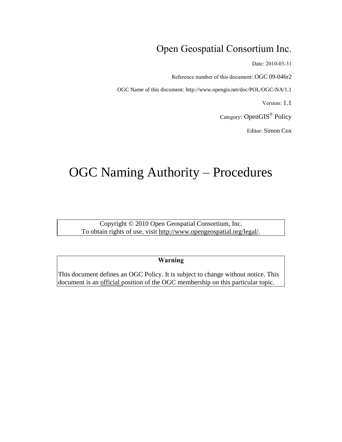## Open Geospatial Consortium Inc.

Date: 2010-03-31

Reference number of this document: OGC 09-046r2

OGC Name of this document: http://www.opengis.net/doc/POL/OGC-NA/1.1

Version: 1.1

Category: OpenGIS<sup>®</sup> Policy

Editor: Simon Cox

# OGC Naming Authority – Procedures

Copyright © 2010 Open Geospatial Consortium, Inc. To obtain rights of use, visit [http://www.opengeospatial.org/legal/.](http://www.opengeospatial.org/legal/)

**Warning**

This document defines an OGC Policy. It is subject to change without notice. This document is an official position of the OGC membership on this particular topic.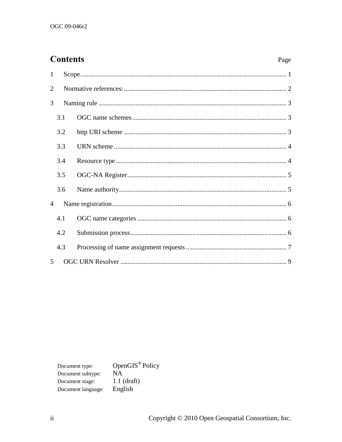### **Contents**

| $\mathbf{1}$   |     |  |  |  |  |  |  |
|----------------|-----|--|--|--|--|--|--|
| $\overline{2}$ |     |  |  |  |  |  |  |
| 3              |     |  |  |  |  |  |  |
|                | 3.1 |  |  |  |  |  |  |
|                | 3.2 |  |  |  |  |  |  |
|                | 3.3 |  |  |  |  |  |  |
|                | 3.4 |  |  |  |  |  |  |
|                | 3.5 |  |  |  |  |  |  |
|                | 3.6 |  |  |  |  |  |  |
| 4              |     |  |  |  |  |  |  |
|                | 4.1 |  |  |  |  |  |  |
|                | 4.2 |  |  |  |  |  |  |
|                | 4.3 |  |  |  |  |  |  |
| 5              |     |  |  |  |  |  |  |

OpenGIS<sup>®</sup> Policy Document type:  $N\overline{A}$ Document subtype:  $1.1$  (draft) Document stage: English Document language: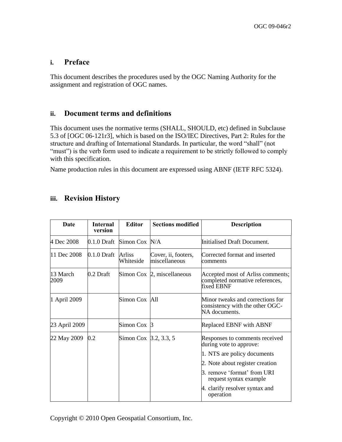#### **i. Preface**

This document describes the procedures used by the OGC Naming Authority for the assignment and registration of OGC names.

#### **ii. Document terms and definitions**

This document uses the normative terms (SHALL, SHOULD, etc) defined in Subclause 5.3 of [OGC 06-121r3], which is based on the ISO/IEC Directives, Part 2: Rules for the structure and drafting of International Standards. In particular, the word "shall" (not "must") is the verb form used to indicate a requirement to be strictly followed to comply with this specification.

Name production rules in this document are expressed using ABNF (IETF RFC 5324).

#### **iii. Revision History**

| Date             | <b>Internal</b><br>version | <b>Editor</b>         | <b>Sections modified</b>             | <b>Description</b>                                                                   |
|------------------|----------------------------|-----------------------|--------------------------------------|--------------------------------------------------------------------------------------|
| 4 Dec 2008       | 0.1.0 Draft                | Simon Cox N/A         |                                      | Initialised Draft Document.                                                          |
| 11 Dec 2008      | $0.1.0$ Draft              | Arliss<br>Whiteside   | Cover, ii, footers,<br>miscellaneous | Corrected format and inserted<br>comments                                            |
| 13 March<br>2009 | 0.2 Draft                  |                       | Simon Cox $\beta$ , miscellaneous    | Accepted most of Arliss comments;<br>completed normative references,<br>fixed EBNF   |
| 1 April 2009     |                            | Simon Cox All         |                                      | Minor tweaks and corrections for<br>consistency with the other OGC-<br>NA documents. |
| 23 April 2009    |                            | Simon Cox $\beta$     |                                      | Replaced EBNF with ABNF                                                              |
| 22 May 2009      | 0.2                        | Simon Cox 3.2, 3.3, 5 |                                      | Responses to comments received<br>during vote to approve:                            |
|                  |                            |                       |                                      | 1. NTS are policy documents                                                          |
|                  |                            |                       |                                      | 2. Note about register creation                                                      |
|                  |                            |                       |                                      | 3. remove 'format' from URI<br>request syntax example                                |
|                  |                            |                       |                                      | 4. clarify resolver syntax and<br>operation                                          |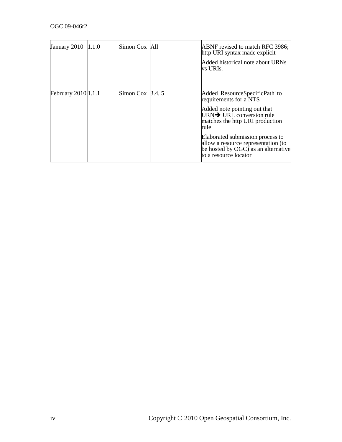| January 2010 1.1.0  | Simon Cox All           | ABNF revised to match RFC 3986;<br>http URI syntax made explicit<br>Added historical note about URNs<br>vs URIs.                                                                                                                                                                                                         |
|---------------------|-------------------------|--------------------------------------------------------------------------------------------------------------------------------------------------------------------------------------------------------------------------------------------------------------------------------------------------------------------------|
| February 2010 1.1.1 | Simon Cox $\beta$ .4, 5 | Added 'ResourceSpecificPath' to<br>requirements for a NTS<br>Added note pointing out that<br>URN $\rightarrow$ URL conversion rule<br>matches the http URI production<br>rule<br>Elaborated submission process to<br>allow a resource representation (to<br>be hosted by OGC) as an alternative<br>to a resource locator |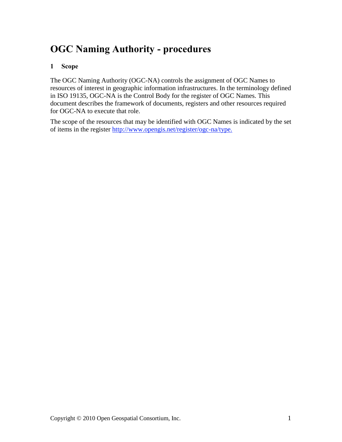## **OGC Naming Authority - procedures**

#### <span id="page-4-0"></span>**1 Scope**

The OGC Naming Authority (OGC-NA) controls the assignment of OGC Names to resources of interest in geographic information infrastructures. In the terminology defined in ISO 19135, OGC-NA is the Control Body for the register of OGC Names. This document describes the framework of documents, registers and other resources required for OGC-NA to execute that role.

<span id="page-4-1"></span>The scope of the resources that may be identified with OGC Names is indicated by the set of items in the register [http://www.opengis.net/register/ogc-na/type.](http://www.opengis.net/register/ogc-na/type)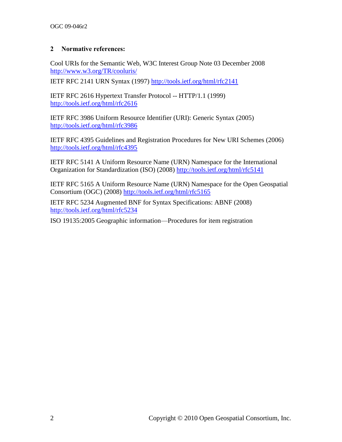#### **2 Normative references:**

Cool URIs for the Semantic Web, W3C Interest Group Note 03 December 2008 <http://www.w3.org/TR/cooluris/>

IETF RFC 2141 URN Syntax (1997)<http://tools.ietf.org/html/rfc2141>

IETF RFC 2616 Hypertext Transfer Protocol -- HTTP/1.1 (1999) <http://tools.ietf.org/html/rfc2616>

IETF RFC 3986 Uniform Resource Identifier (URI): Generic Syntax (2005) <http://tools.ietf.org/html/rfc3986>

IETF RFC 4395 Guidelines and Registration Procedures for New URI Schemes (2006) <http://tools.ietf.org/html/rfc4395>

IETF RFC 5141 A Uniform Resource Name (URN) Namespace for the International Organization for Standardization (ISO) (2008) <http://tools.ietf.org/html/rfc5141>

IETF RFC 5165 A Uniform Resource Name (URN) Namespace for the Open Geospatial Consortium (OGC) (2008) <http://tools.ietf.org/html/rfc5165>

IETF RFC 5234 Augmented BNF for Syntax Specifications: ABNF (2008) <http://tools.ietf.org/html/rfc5234>

<span id="page-5-0"></span>ISO 19135:2005 Geographic information—Procedures for item registration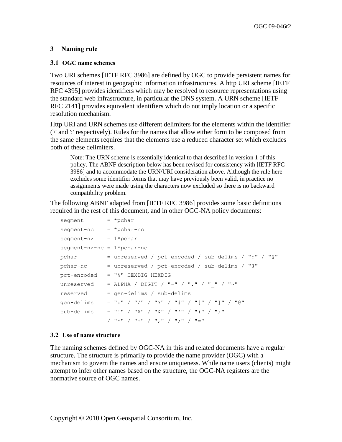#### **3 Naming rule**

#### <span id="page-6-0"></span>**3.1 OGC name schemes**

Two URI schemes [IETF RFC 3986] are defined by OGC to provide persistent names for resources of interest in geographic information infrastructures. A http URI scheme [IETF RFC 4395] provides identifiers which may be resolved to resource representations using the standard web infrastructure, in particular the DNS system. A URN scheme [IETF RFC 2141] provides equivalent identifiers which do not imply location or a specific resolution mechanism.

Http URI and URN schemes use different delimiters for the elements within the identifier ('/' and ':' respectively). Rules for the names that allow either form to be composed from the same elements requires that the elements use a reduced character set which excludes both of these delimiters.

Note: The URN scheme is essentially identical to that described in version 1 of this policy. The ABNF description below has been revised for consistency with [IETF RFC 3986] and to accommodate the URN/URI consideration above. Although the rule here excludes some identifier forms that may have previously been valid, in practice no assignments were made using the characters now excluded so there is no backward compatibility problem.

The following ABNF adapted from [IETF RFC 3986] provides some basic definitions required in the rest of this document, and in other OGC-NA policy documents:

```
segment = *pcharsegment-nc = *pchar-ncsegment - nz = 1 * pchar segment-nz-nc = 1*pchar-nc
  pchar = unreserved / pct-encoded / sub-delims / ":" / "@"
  pchar-nc = unreserved / pct-encoded / sub-delims / "@" pct-encoded = "%" HEXDIG HEXDIG
unreserved = ALPHA / DIGIT / "-" / "." / " " / "~"
 reserved = gen-delims / sub-delims
   gen-delims = ":" / "/" / "?" / "#" / "[" / "]" / "@"
  sub-delims = "!" / "\zeta" / "\zeta" / "'" / "(" / ")"
               / "*" / "+" / ", " / ", " / "="
```
#### <span id="page-6-1"></span>**3.2 Use of name structure**

The naming schemes defined by OGC-NA in this and related documents have a regular structure. The structure is primarily to provide the name provider (OGC) with a mechanism to govern the names and ensure uniqueness. While name users (clients) might attempt to infer other names based on the structure, the OGC-NA registers are the normative source of OGC names.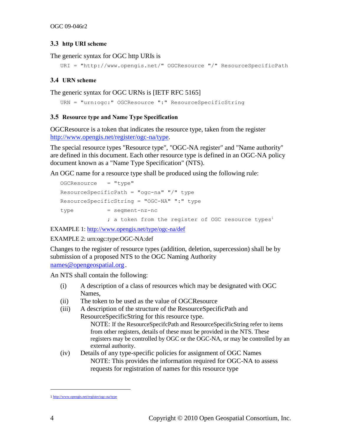#### **3.3 http URI scheme**

The generic syntax for OGC http URIs is

```
 URI = "http://www.opengis.net/" OGCResource "/" ResourceSpecificPath
```
#### <span id="page-7-0"></span>**3.4 URN scheme**

The generic syntax for OGC URNs is [IETF RFC 5165]

```
 URN = "urn:ogc:" OGCResource ":" ResourceSpecificString
```
#### <span id="page-7-1"></span>**3.5 Resource type and Name Type Specification**

OGCResource is a token that indicates the resource type, taken from the register [http://www.opengis.net/register/ogc-na/type.](http://www.opengis.net/register/ogc-na/type)

The special resource types "Resource type", "OGC-NA register" and "Name authority" are defined in this document. Each other resource type is defined in an OGC-NA policy document known as a "Name Type Specification" (NTS).

An OGC name for a resource type shall be produced using the following rule:

```
OGCResource = "type"ResourceSpecificPath = "oqc-na" "/" type
 ResourceSpecificString = "OGC-NA" ":" type
type = segment-nz-nc; a token from the register of OGC resource types<sup>1</sup>
```
EXAMPLE 1:<http://www.opengis.net/type/ogc-na/def>

#### EXAMPLE 2: urn:ogc:type:OGC-NA:def

Changes to the register of resource types (addition, deletion, supercession) shall be by submission of a proposed NTS to the OGC Naming Authority [names@opengeospatial.org](mailto:names@opengeospatial.org).

An NTS shall contain the following:

- (i) A description of a class of resources which may be designated with OGC Names,
- (ii) The token to be used as the value of OGCResource
- (iii) A description of the structure of the ResourceSpecificPath and ResourceSpecificString for this resource type. NOTE: If the ResourceSpecifcPath and ResourceSpecificString refer to items from other registers, details of these must be provided in the NTS. These registers may be controlled by OGC or the OGC-NA, or may be controlled by an external authority.
- (iv) Details of any type-specific policies for assignment of OGC Names NOTE: This provides the information required for OGC-NA to assess requests for registration of names for this resource type

 $\overline{a}$ 

<sup>1</sup> <http://www.opengis.net/register/ogc-na/type>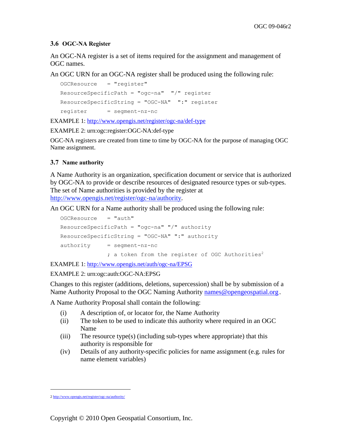#### <span id="page-8-0"></span>**3.6 OGC-NA Register**

An OGC-NA register is a set of items required for the assignment and management of OGC names.

An OGC URN for an OGC-NA register shall be produced using the following rule:

```
 OGCResource = "register" 
 ResourceSpecificPath = "ogc-na" "/" register 
 ResourceSpecificString = "OGC-NA" ":" register 
 register = segment-nz-nc
```
EXAMPLE 1:<http://www.opengis.net/register/ogc-na/def-type>

EXAMPLE 2: urn:ogc:register:OGC-NA:def-type

OGC-NA registers are created from time to time by OGC-NA for the purpose of managing OGC Name assignment.

#### <span id="page-8-1"></span>**3.7 Name authority**

A Name Authority is an organization, specification document or service that is authorized by OGC-NA to provide or describe resources of designated resource types or sub-types. The set of Name authorities is provided by the register at http://www.opengis.net/register/ogc-na/authority.

An OGC URN for a Name authority shall be produced using the following rule:

```
OGCResource = "auth" ResourceSpecificPath = "ogc-na" "/" authority 
 ResourceSpecificString = "OGC-NA" ":" authority 
authority = segment-nz-nc; a token from the register of OGC Authorities<sup>2</sup>
```
EXAMPLE 1:<http://www.opengis.net/auth/ogc-na/EPSG>

EXAMPLE 2: urn:ogc:auth:OGC-NA:EPSG

Changes to this register (additions, deletions, supercession) shall be by submission of a Name Authority Proposal to the OGC Naming Authority [names@opengeospatial.org](mailto:names@opengeospatial.org).

A Name Authority Proposal shall contain the following:

- (i) A description of, or locator for, the Name Authority
- (ii) The token to be used to indicate this authority where required in an OGC Name
- (iii) The resource type(s) (including sub-types where appropriate) that this authority is responsible for
- <span id="page-8-2"></span>(iv) Details of any authority-specific policies for name assignment (e.g. rules for name element variables)

 $\overline{a}$ 

<sup>2</sup> <http://www.opengis.net/register/ogc-na/authority/>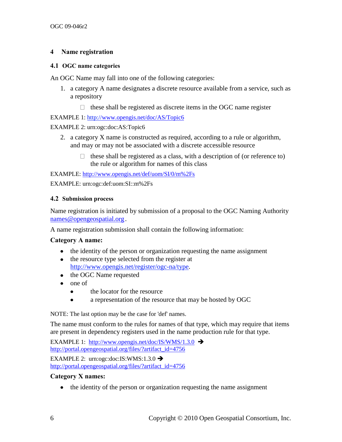#### **4 Name registration**

#### <span id="page-9-0"></span>**4.1 OGC name categories**

An OGC Name may fall into one of the following categories:

- 1. a category A name designates a discrete resource available from a service, such as a repository
	- $\Box$  these shall be registered as discrete items in the OGC name register

EXAMPLE 1: http:/[/www.opengis.net/doc/AS/Topic6](http://www.opengis.net/doc/AS/Topic6)

#### EXAMPLE 2: urn:ogc:doc:AS:Topic6

- 2. a category X name is constructed as required, according to a rule or algorithm, and may or may not be associated with a discrete accessible resource
	- $\Box$  these shall be registered as a class, with a description of (or reference to) the rule or algorithm for names of this class

EXAMPLE:<http://www.opengis.net/def/uom/SI/0/m%2Fs> EXAMPLE: urn:ogc:def:uom:SI::m%2Fs

#### <span id="page-9-1"></span>**4.2 Submission process**

Name registration is initiated by submission of a proposal to the OGC Naming Authority [names@opengeospatial.org](mailto:names@opengeospatial.org).

A name registration submission shall contain the following information:

#### **Category A name:**

- the identity of the person or organization requesting the name assignment
- the resource type selected from the register at [http://www.opengis.net/register/ogc-na/type.](http://www.opengis.net/register/ogc-na/type)
- the OGC Name requested
- one of
	- the locator for the resource  $\bullet$
	- a representation of the resource that may be hosted by OGC  $\bullet$

NOTE: The last option may be the case for 'def' names.

The name must conform to the rules for names of that type, which may require that items are present in dependency registers used in the name production rule for that type.

EXAMPLE 1:<http://www.opengis.net/doc/IS/WMS/1.3.0>  $\rightarrow$ [http://portal.opengeospatial.org/files/?artifact\\_id=4756](http://portal.opengeospatial.org/files/?artifact_id=4756) 

EXAMPLE 2: urn:ogc:doc:IS:WMS:1.3.0  $\rightarrow$ [http://portal.opengeospatial.org/files/?artifact\\_id=4756](http://portal.opengeospatial.org/files/?artifact_id=4756) 

#### **Category X names:**

• the identity of the person or organization requesting the name assignment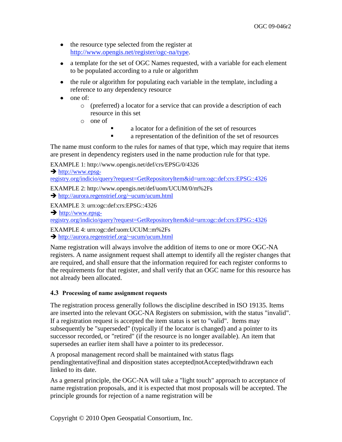- the resource type selected from the register at [http://www.opengis.net/register/ogc-na/type.](http://www.opengis.net/register/ogc-na/type)
- a template for the set of OGC Names requested, with a variable for each element to be populated according to a rule or algorithm
- the rule or algorithm for populating each variable in the template, including a reference to any dependency resource
- $\bullet$  one of:
	- o (preferred) a locator for a service that can provide a description of each resource in this set
	- o one of
		- a locator for a definition of the set of resources
		- a representation of the definition of the set of resources

The name must conform to the rules for names of that type, which may require that items are present in dependency registers used in the name production rule for that type.

EXAMPLE 1: http://www.opengis.net/def/crs/EPSG/0/4326

 $\rightarrow$  [http://www.epsg-](http://www.epsg-registry.org/indicio/query?request=GetRepositoryItem&id=urn:ogc:def:crs:EPSG::4326)

[registry.org/indicio/query?request=GetRepositoryItem&id=urn:ogc:def:crs:EPSG::4326](http://www.epsg-registry.org/indicio/query?request=GetRepositoryItem&id=urn:ogc:def:crs:EPSG::4326)

EXAMPLE 2: http://www.opengis.net/def/uom/UCUM/0/m%2Fs

<http://aurora.regenstrief.org/~ucum/ucum.html>

EXAMPLE 3: urn:ogc:def:crs:EPSG::4326

 $\rightarrow$  [http://www.epsg-](http://www.epsg-registry.org/indicio/query?request=GetRepositoryItem&id=urn:ogc:def:crs:EPSG::4326)

[registry.org/indicio/query?request=GetRepositoryItem&id=urn:ogc:def:crs:EPSG::4326](http://www.epsg-registry.org/indicio/query?request=GetRepositoryItem&id=urn:ogc:def:crs:EPSG::4326)

EXAMPLE 4: urn:ogc:def:uom:UCUM::m%2Fs

<http://aurora.regenstrief.org/~ucum/ucum.html>

Name registration will always involve the addition of items to one or more OGC-NA registers. A name assignment request shall attempt to identify all the register changes that are required, and shall ensure that the information required for each register conforms to the requirements for that register, and shall verify that an OGC name for this resource has not already been allocated.

#### <span id="page-10-0"></span>**4.3 Processing of name assignment requests**

The registration process generally follows the discipline described in ISO 19135. Items are inserted into the relevant OGC-NA Registers on submission, with the status "invalid". If a registration request is accepted the item status is set to "valid". Items may subsequently be "superseded" (typically if the locator is changed) and a pointer to its successor recorded, or "retired" (if the resource is no longer available). An item that supersedes an earlier item shall have a pointer to its predecessor.

A proposal management record shall be maintained with status flags pending|tentative|final and disposition states accepted|notAccepted|withdrawn each linked to its date.

As a general principle, the OGC-NA will take a "light touch" approach to acceptance of name registration proposals, and it is expected that most proposals will be accepted. The principle grounds for rejection of a name registration will be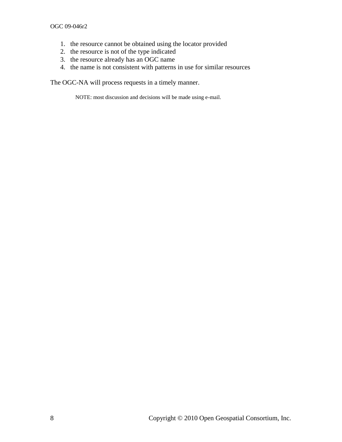- 1. the resource cannot be obtained using the locator provided
- 2. the resource is not of the type indicated
- 3. the resource already has an OGC name
- 4. the name is not consistent with patterns in use for similar resources

<span id="page-11-0"></span>The OGC-NA will process requests in a timely manner.

NOTE: most discussion and decisions will be made using e-mail.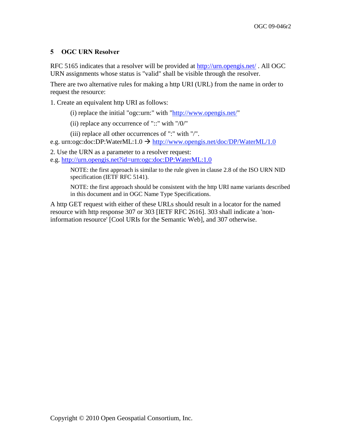#### **5 OGC URN Resolver**

RFC 5165 indicates that a resolver will be provided at<http://urn.opengis.net/> . All OGC URN assignments whose status is "valid" shall be visible through the resolver.

There are two alternative rules for making a http URI (URL) from the name in order to request the resource:

1. Create an equivalent http URI as follows:

- (i) replace the initial "ogc:urn:" with ["http://www.opengis.net/"](http://www.opengis.net/)
- (ii) replace any occurrence of "::" with "/0/"
- (iii) replace all other occurrences of ":" with "/".
- e.g. urn:ogc:doc:DP:WaterML:1.0  $\rightarrow$  [http://www.opengis.net/doc/DP/WaterML/1.0](http://www.opengis.net/doc/dp/waterml/1.0)
- 2. Use the URN as a parameter to a resolver request:

e.g. [http://urn.opengis.net?id=urn:ogc:doc:DP:WaterML:1.0](http://urn.opengis.net/?id=urn:ogc:doc:DP:WaterML:1.0) 

NOTE: the first approach is similar to the rule given in clause 2.8 of the ISO URN NID specification (IETF RFC 5141).

NOTE: the first approach should be consistent with the http URI name variants described in this document and in OGC Name Type Specifications.

A http GET request with either of these URLs should result in a locator for the named resource with http response 307 or 303 [IETF RFC 2616]. 303 shall indicate a 'noninformation resource' [Cool URIs for the Semantic Web], and 307 otherwise.